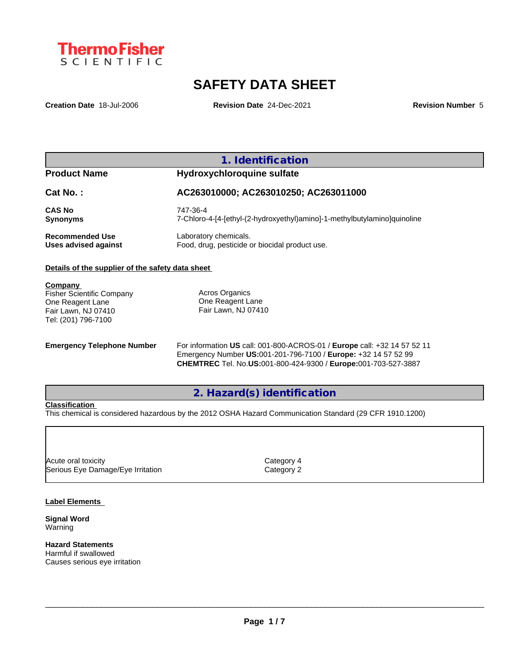

# **SAFETY DATA SHEET**

**Creation Date** 18-Jul-2006 **Revision Date** 24-Dec-2021 **Revision Number** 5

# **1. Identification**

### **Product Name Hydroxychloroquine sulfate**

**Cat No. : AC263010000; AC263010250; AC263011000 CAS No** 747-36-4 **Synonyms** 7-Chloro-4-[4-[ethyl-(2-hydroxyethyl)amino]-1-methylbutylamino]quinoline **Recommended Use** Laboratory chemicals.<br> **Uses advised against** Food, drug, pesticide of Food, drug, pesticide or biocidal product use.

#### **Details of the supplier of the safety data sheet**

**Company** 

Fisher Scientific Company One Reagent Lane Fair Lawn, NJ 07410 Tel: (201) 796-7100

Acros Organics One Reagent Lane Fair Lawn, NJ 07410

**Emergency Telephone Number** For information **US** call: 001-800-ACROS-01 / **Europe** call: +32 14 57 52 11 Emergency Number **US:**001-201-796-7100 / **Europe:** +32 14 57 52 99 **CHEMTREC** Tel. No.**US:**001-800-424-9300 / **Europe:**001-703-527-3887

# **2. Hazard(s) identification**

#### **Classification**

This chemical is considered hazardous by the 2012 OSHA Hazard Communication Standard (29 CFR 1910.1200)

Acute oral toxicity and the contract of the Category 4 Serious Eye Damage/Eye Irritation Category 2

#### **Label Elements**

**Signal Word** Warning

**Hazard Statements**

Harmful if swallowed Causes serious eye irritation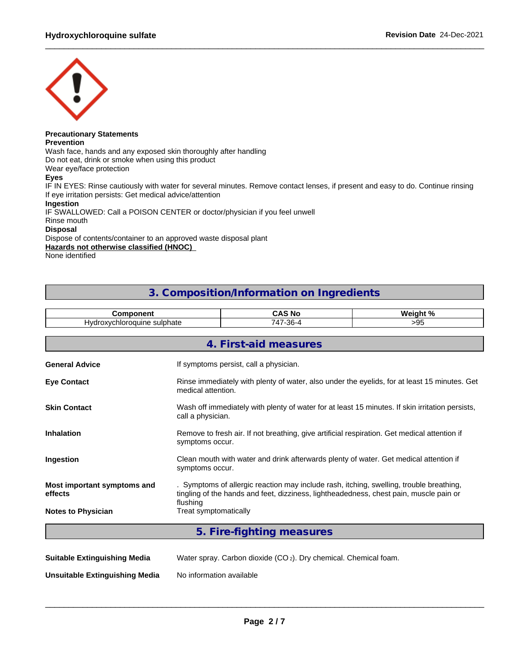

# **Precautionary Statements**

**Prevention**

Wash face, hands and any exposed skin thoroughly after handling

Do not eat, drink or smoke when using this product

Wear eye/face protection

#### **Eyes**

IF IN EYES: Rinse cautiously with water for several minutes. Remove contact lenses, if present and easy to do. Continue rinsing If eye irritation persists: Get medical advice/attention

#### **Ingestion**

IF SWALLOWED: Call a POISON CENTER or doctor/physician if you feel unwell

### Rinse mouth

**Disposal**

Dispose of contents/container to an approved waste disposal plant

**Hazards not otherwise classified (HNOC)**

None identified

# **3. Composition/Information on Ingredients**

| .                                   | N0<br>B                                                 | ر م<br>۱M۰ |
|-------------------------------------|---------------------------------------------------------|------------|
| uvdre<br>ılnr<br>$\sqrt{2}$<br>idle | $\Omega$<br>$\rightarrow$ $\rightarrow$<br>77<br>~~<br> | 11<br>.    |

|                                        | 4. First-aid measures                                                                                                                                                                         |
|----------------------------------------|-----------------------------------------------------------------------------------------------------------------------------------------------------------------------------------------------|
| <b>General Advice</b>                  | If symptoms persist, call a physician.                                                                                                                                                        |
| <b>Eye Contact</b>                     | Rinse immediately with plenty of water, also under the eyelids, for at least 15 minutes. Get<br>medical attention.                                                                            |
| <b>Skin Contact</b>                    | Wash off immediately with plenty of water for at least 15 minutes. If skin irritation persists,<br>call a physician.                                                                          |
| <b>Inhalation</b>                      | Remove to fresh air. If not breathing, give artificial respiration. Get medical attention if<br>symptoms occur.                                                                               |
| Ingestion                              | Clean mouth with water and drink afterwards plenty of water. Get medical attention if<br>symptoms occur.                                                                                      |
| Most important symptoms and<br>effects | . Symptoms of allergic reaction may include rash, itching, swelling, trouble breathing,<br>tingling of the hands and feet, dizziness, lightheadedness, chest pain, muscle pain or<br>flushing |
| <b>Notes to Physician</b>              | Treat symptomatically                                                                                                                                                                         |
|                                        | 5. Fire-fighting measures                                                                                                                                                                     |

| <b>Suitable Extinguishing Media</b> | Water spray. Carbon dioxide (CO <sub>2</sub> ). Dry chemical. Chemical foam. |
|-------------------------------------|------------------------------------------------------------------------------|
| Unsuitable Extinguishing Media      | No information available                                                     |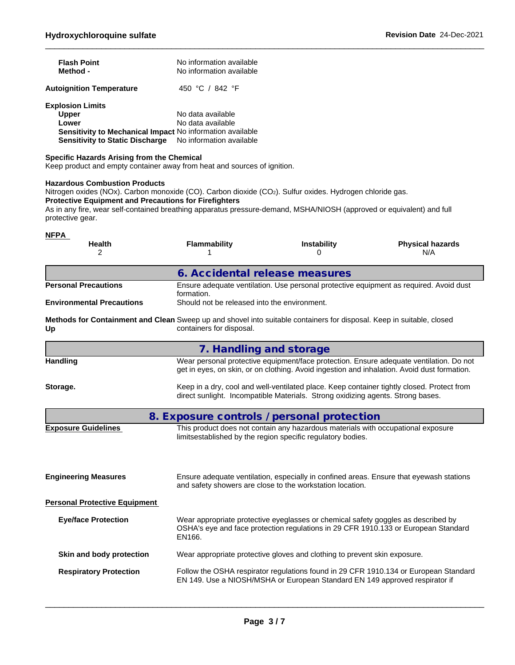| <b>Flash Point</b><br>Method -                                                                                                                          | No information available<br>No information available               |
|---------------------------------------------------------------------------------------------------------------------------------------------------------|--------------------------------------------------------------------|
| <b>Autoignition Temperature</b>                                                                                                                         | 450 °C / 842 °F                                                    |
| <b>Explosion Limits</b><br><b>Upper</b><br>Lower<br>Sensitivity to Mechanical Impact No information available<br><b>Sensitivity to Static Discharge</b> | No data available<br>No data available<br>No information available |

#### **Specific Hazards Arising from the Chemical**

Keep product and empty container away from heat and sources of ignition.

#### **Hazardous Combustion Products**

Nitrogen oxides (NOx). Carbon monoxide (CO). Carbon dioxide (CO<sub>2</sub>). Sulfur oxides. Hydrogen chloride gas. **Protective Equipment and Precautions for Firefighters** As in any fire, wear self-contained breathing apparatus pressure-demand, MSHA/NIOSH (approved or equivalent) and full protective gear.

| <b>NFPA</b><br><b>Health</b><br>2                                                                                           | <b>Flammability</b>                          | <b>Instability</b>                                                                                                                              | <b>Physical hazards</b><br>N/A                                                                                                                                                         |
|-----------------------------------------------------------------------------------------------------------------------------|----------------------------------------------|-------------------------------------------------------------------------------------------------------------------------------------------------|----------------------------------------------------------------------------------------------------------------------------------------------------------------------------------------|
|                                                                                                                             | 6. Accidental release measures               |                                                                                                                                                 |                                                                                                                                                                                        |
| <b>Personal Precautions</b>                                                                                                 | formation.                                   |                                                                                                                                                 | Ensure adequate ventilation. Use personal protective equipment as required. Avoid dust                                                                                                 |
| <b>Environmental Precautions</b>                                                                                            | Should not be released into the environment. |                                                                                                                                                 |                                                                                                                                                                                        |
| Methods for Containment and Clean Sweep up and shovel into suitable containers for disposal. Keep in suitable, closed<br>Up | containers for disposal.                     |                                                                                                                                                 |                                                                                                                                                                                        |
|                                                                                                                             | 7. Handling and storage                      |                                                                                                                                                 |                                                                                                                                                                                        |
| Handling                                                                                                                    |                                              |                                                                                                                                                 | Wear personal protective equipment/face protection. Ensure adequate ventilation. Do not<br>get in eyes, on skin, or on clothing. Avoid ingestion and inhalation. Avoid dust formation. |
| Storage.                                                                                                                    |                                              | direct sunlight. Incompatible Materials. Strong oxidizing agents. Strong bases.                                                                 | Keep in a dry, cool and well-ventilated place. Keep container tightly closed. Protect from                                                                                             |
|                                                                                                                             | 8. Exposure controls / personal protection   |                                                                                                                                                 |                                                                                                                                                                                        |
| <b>Exposure Guidelines</b>                                                                                                  |                                              | This product does not contain any hazardous materials with occupational exposure<br>limitsestablished by the region specific regulatory bodies. |                                                                                                                                                                                        |
| <b>Engineering Measures</b>                                                                                                 |                                              | and safety showers are close to the workstation location.                                                                                       | Ensure adequate ventilation, especially in confined areas. Ensure that eyewash stations                                                                                                |
| <b>Personal Protective Equipment</b>                                                                                        |                                              |                                                                                                                                                 |                                                                                                                                                                                        |
| <b>Eye/face Protection</b>                                                                                                  | EN166.                                       | Wear appropriate protective eyeglasses or chemical safety goggles as described by                                                               | OSHA's eye and face protection regulations in 29 CFR 1910.133 or European Standard                                                                                                     |
| Skin and body protection                                                                                                    |                                              | Wear appropriate protective gloves and clothing to prevent skin exposure.                                                                       |                                                                                                                                                                                        |
| <b>Respiratory Protection</b>                                                                                               |                                              | EN 149. Use a NIOSH/MSHA or European Standard EN 149 approved respirator if                                                                     | Follow the OSHA respirator regulations found in 29 CFR 1910.134 or European Standard                                                                                                   |
|                                                                                                                             |                                              |                                                                                                                                                 |                                                                                                                                                                                        |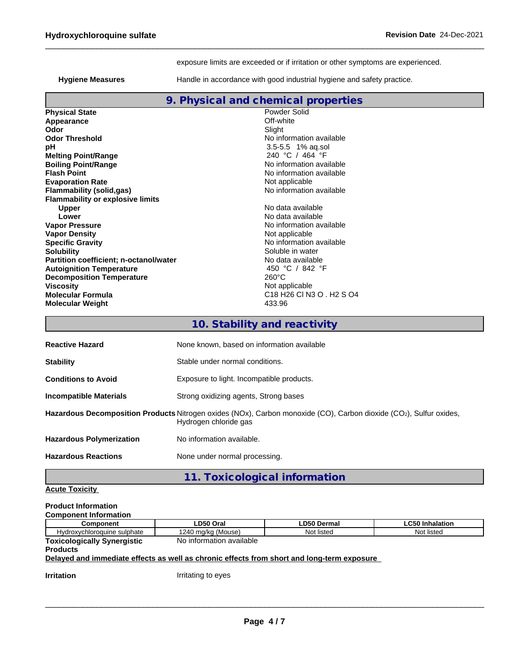exposure limits are exceeded or if irritation or other symptoms are experienced.

Hygiene Measures **Handle** in accordance with good industrial hygiene and safety practice.

|                                         | 9. Physical and chemical properties                                                                         |
|-----------------------------------------|-------------------------------------------------------------------------------------------------------------|
| <b>Physical State</b>                   | Powder Solid                                                                                                |
| Appearance                              | Off-white                                                                                                   |
| Odor                                    | Slight                                                                                                      |
| <b>Odor Threshold</b>                   | No information available                                                                                    |
| pH                                      | $3.5 - 5.5$ 1% ag.sol                                                                                       |
| <b>Melting Point/Range</b>              | 240 °C / 464 °F                                                                                             |
| <b>Boiling Point/Range</b>              | No information available                                                                                    |
| <b>Flash Point</b>                      | No information available                                                                                    |
| <b>Evaporation Rate</b>                 | Not applicable                                                                                              |
| <b>Flammability (solid,gas)</b>         | No information available                                                                                    |
| <b>Flammability or explosive limits</b> |                                                                                                             |
| <b>Upper</b>                            | No data available                                                                                           |
| Lower                                   | No data available                                                                                           |
| <b>Vapor Pressure</b>                   | No information available                                                                                    |
| <b>Vapor Density</b>                    | Not applicable                                                                                              |
| <b>Specific Gravity</b>                 | No information available                                                                                    |
| <b>Solubility</b>                       | Soluble in water                                                                                            |
| Partition coefficient; n-octanol/water  | No data available                                                                                           |
| <b>Autoignition Temperature</b>         | 450 °C / 842 °F                                                                                             |
| <b>Decomposition Temperature</b>        | $260^{\circ}$ C                                                                                             |
| <b>Viscosity</b>                        | Not applicable                                                                                              |
| <b>Molecular Formula</b>                | C <sub>18</sub> H <sub>26</sub> C <sub>1</sub> N <sub>3</sub> O <sub>1</sub> H <sub>2</sub> S <sub>04</sub> |
| <b>Molecular Weight</b>                 | 433.96                                                                                                      |
|                                         |                                                                                                             |
|                                         | 10. Stability and reactivity                                                                                |

| <b>Reactive Hazard</b>          | None known, based on information available                                                                                                  |
|---------------------------------|---------------------------------------------------------------------------------------------------------------------------------------------|
| <b>Stability</b>                | Stable under normal conditions.                                                                                                             |
| <b>Conditions to Avoid</b>      | Exposure to light. Incompatible products.                                                                                                   |
| <b>Incompatible Materials</b>   | Strong oxidizing agents, Strong bases                                                                                                       |
|                                 | Hazardous Decomposition Products Nitrogen oxides (NOx), Carbon monoxide (CO), Carbon dioxide (CO2), Sulfur oxides,<br>Hydrogen chloride gas |
| <b>Hazardous Polymerization</b> | No information available.                                                                                                                   |
| <b>Hazardous Reactions</b>      | None under normal processing.                                                                                                               |

**11. Toxicological information**

#### **Acute Toxicity**

| <b>Product Information</b>         |                          |             |                        |
|------------------------------------|--------------------------|-------------|------------------------|
| <b>Component Information</b>       |                          |             |                        |
| <b>Component</b>                   | LD50 Oral                | LD50 Dermal | <b>LC50 Inhalation</b> |
| Hydroxychloroquine sulphate        | 1240 mg/kg (Mouse)       | Not listed  | Not listed             |
| <b>Toxicologically Synergistic</b> | No information available |             |                        |
| <b>Products</b>                    |                          |             |                        |

#### **Delayed and immediate effects as well as chronic effects from short and long-term exposure**

**Irritation Irritation I**rritating to eyes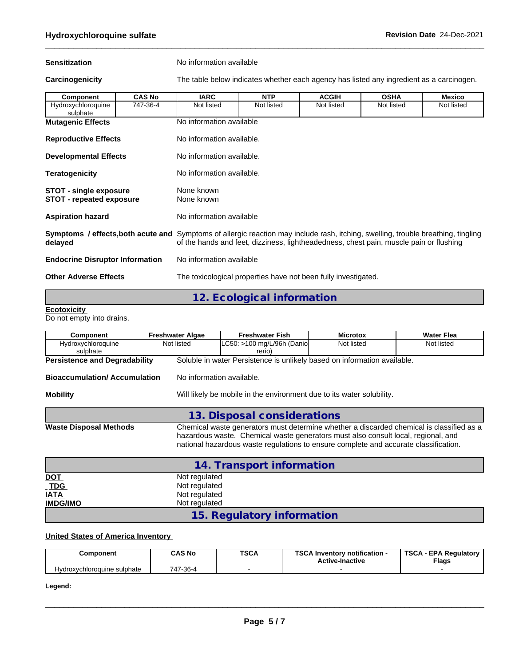**Sensitization** No information available

Carcinogenicity **The table below indicates whether each agency has listed any ingredient as a carcinogen.** 

| Component                                                                                                                                           | <b>CAS No</b> | <b>IARC</b>               | <b>NTP</b>                 | <b>ACGIH</b>                                                                           | <b>OSHA</b> | <b>Mexico</b> |  |  |  |
|-----------------------------------------------------------------------------------------------------------------------------------------------------|---------------|---------------------------|----------------------------|----------------------------------------------------------------------------------------|-------------|---------------|--|--|--|
| Hydroxychloroquine<br>sulphate                                                                                                                      | 747-36-4      | Not listed                | Not listed                 | Not listed                                                                             | Not listed  | Not listed    |  |  |  |
| <b>Mutagenic Effects</b>                                                                                                                            |               | No information available  |                            |                                                                                        |             |               |  |  |  |
| <b>Reproductive Effects</b>                                                                                                                         |               | No information available. |                            |                                                                                        |             |               |  |  |  |
| <b>Developmental Effects</b>                                                                                                                        |               | No information available. |                            |                                                                                        |             |               |  |  |  |
| <b>Teratogenicity</b>                                                                                                                               |               | No information available. |                            |                                                                                        |             |               |  |  |  |
| <b>STOT - single exposure</b><br><b>STOT - repeated exposure</b>                                                                                    |               | None known<br>None known  |                            |                                                                                        |             |               |  |  |  |
| <b>Aspiration hazard</b>                                                                                                                            |               | No information available  |                            |                                                                                        |             |               |  |  |  |
| <b>Symptoms / effects, both acute and</b> Symptoms of allergic reaction may include rash, itching, swelling, trouble breathing, tingling<br>delayed |               |                           |                            | of the hands and feet, dizziness, lightheadedness, chest pain, muscle pain or flushing |             |               |  |  |  |
| <b>Endocrine Disruptor Information</b>                                                                                                              |               |                           | No information available   |                                                                                        |             |               |  |  |  |
| <b>Other Adverse Effects</b>                                                                                                                        |               |                           |                            | The toxicological properties have not been fully investigated.                         |             |               |  |  |  |
|                                                                                                                                                     |               |                           | 12. Ecological information |                                                                                        |             |               |  |  |  |

#### **Ecotoxicity**

Do not empty into drains.

| Component                            | <b>Freshwater Algae</b>   | <b>Freshwater Fish</b>                                                                                                                                                    | <b>Microtox</b> | <b>Water Flea</b>                                                                        |
|--------------------------------------|---------------------------|---------------------------------------------------------------------------------------------------------------------------------------------------------------------------|-----------------|------------------------------------------------------------------------------------------|
| Hydroxychloroquine<br>sulphate       | Not listed                | LC50: >100 mg/L/96h (Danio<br>rerio)                                                                                                                                      | Not listed      | Not listed                                                                               |
| <b>Persistence and Degradability</b> |                           | Soluble in water Persistence is unlikely based on information available.                                                                                                  |                 |                                                                                          |
| <b>Bioaccumulation/Accumulation</b>  | No information available. |                                                                                                                                                                           |                 |                                                                                          |
| <b>Mobility</b>                      |                           | Will likely be mobile in the environment due to its water solubility.                                                                                                     |                 |                                                                                          |
|                                      |                           | 13. Disposal considerations                                                                                                                                               |                 |                                                                                          |
| <b>Waste Disposal Methods</b>        |                           | hazardous waste. Chemical waste generators must also consult local, regional, and<br>national hazardous waste regulations to ensure complete and accurate classification. |                 | Chemical waste generators must determine whether a discarded chemical is classified as a |
|                                      |                           | 14. Transport information                                                                                                                                                 |                 |                                                                                          |
| <b>DOT</b>                           | Not regulated             |                                                                                                                                                                           |                 |                                                                                          |
| <u>TDG</u>                           | Not regulated             |                                                                                                                                                                           |                 |                                                                                          |
| <b>IATA</b>                          | Not regulated             |                                                                                                                                                                           |                 |                                                                                          |
| <b>IMDG/IMO</b>                      | Not regulated             |                                                                                                                                                                           |                 |                                                                                          |

# **15. Regulatory information**

#### **United States of America Inventory**

| Component                   | CAS No   | <b>TSCA</b> | <b>TOO 4 1</b><br><br>- Inventorv notification ا<br><b>Active-Inactive</b> | <b>TSCA</b><br><b>EPA Requiatory</b><br><b>Flags</b> |
|-----------------------------|----------|-------------|----------------------------------------------------------------------------|------------------------------------------------------|
| Hydroxychloroquine sulphate | 747-36-4 |             |                                                                            |                                                      |

**Legend:**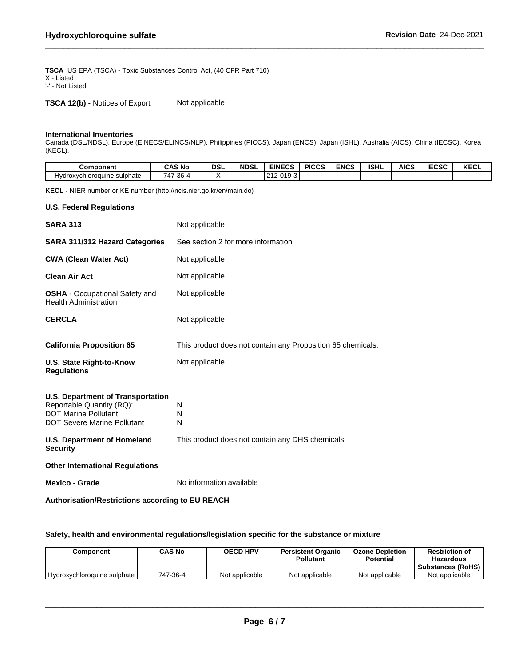**TSCA** US EPA (TSCA) - Toxic Substances Control Act, (40 CFR Part 710) X - Listed '-' - Not Listed

**TSCA 12(b)** - Notices of Export Not applicable

#### **International Inventories**

Canada (DSL/NDSL), Europe (EINECS/ELINCS/NLP), Philippines (PICCS), Japan (ENCS), Japan (ISHL), Australia (AICS), China (IECSC), Korea (KECL).

| Component                           | ີ AS No                    | <b>DSL</b> | <b>NDSL</b> | <b>EINECS</b>                                         | <b>PICCS</b> | <b>ENCS</b> | <b>ISHL</b> | <b>AICS</b> | <b>IECSC</b> | <b>IZEAL</b><br><b>KECL</b> |
|-------------------------------------|----------------------------|------------|-------------|-------------------------------------------------------|--------------|-------------|-------------|-------------|--------------|-----------------------------|
| phate<br>Hvdroxvchloroquine<br>: su | $-1 -$<br>$7-36-4$<br>747- |            |             | -010-3<br>$\Omega$<br>$\sim$ $\sim$<br>־טו<br>$\cdot$ |              |             |             |             |              |                             |

**KECL** - NIER number or KE number (http://ncis.nier.go.kr/en/main.do)

#### **U.S. Federal Regulations**

| <b>SARA 313</b>                                                                                                                     | Not applicable                                              |
|-------------------------------------------------------------------------------------------------------------------------------------|-------------------------------------------------------------|
| <b>SARA 311/312 Hazard Categories</b>                                                                                               | See section 2 for more information                          |
| <b>CWA (Clean Water Act)</b>                                                                                                        | Not applicable                                              |
| <b>Clean Air Act</b>                                                                                                                | Not applicable                                              |
| <b>OSHA</b> - Occupational Safety and<br><b>Health Administration</b>                                                               | Not applicable                                              |
| <b>CERCLA</b>                                                                                                                       | Not applicable                                              |
| <b>California Proposition 65</b>                                                                                                    | This product does not contain any Proposition 65 chemicals. |
| U.S. State Right-to-Know<br><b>Regulations</b>                                                                                      | Not applicable                                              |
| U.S. Department of Transportation<br>Reportable Quantity (RQ):<br><b>DOT Marine Pollutant</b><br><b>DOT Severe Marine Pollutant</b> | N<br>N<br>N                                                 |
| <b>U.S. Department of Homeland</b><br><b>Security</b>                                                                               | This product does not contain any DHS chemicals.            |
| <b>Other International Regulations</b>                                                                                              |                                                             |
| Mexico - Grade                                                                                                                      | No information available                                    |

**Authorisation/Restrictions according to EU REACH**

#### **Safety, health and environmental regulations/legislation specific for the substance or mixture**

| こomponent                   | CAS No   | <b>OECD HPV</b> | <b>Persistent Organic</b><br><b>Pollutant</b> | <b>Ozone Depletion</b><br><b>Potential</b> | <b>Restriction of</b><br>Hazardous<br><b>Substances (RoHS)</b> |
|-----------------------------|----------|-----------------|-----------------------------------------------|--------------------------------------------|----------------------------------------------------------------|
| Hydroxychloroquine sulphate | 747-36-4 | Not applicable  | Not applicable                                | Not applicable                             | Not applicable                                                 |